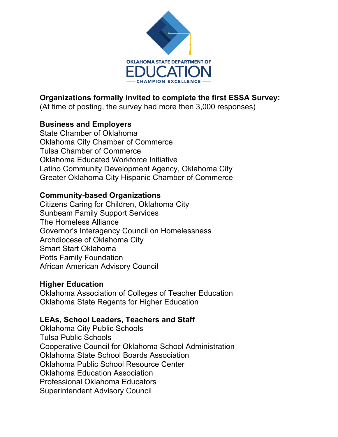

# **Organizations formally invited to complete the first ESSA Survey:**

(At time of posting, the survey had more then 3,000 responses)

### **Business and Employers**

State Chamber of Oklahoma Oklahoma City Chamber of Commerce Tulsa Chamber of Commerce Oklahoma Educated Workforce Initiative Latino Community Development Agency, Oklahoma City Greater Oklahoma City Hispanic Chamber of Commerce

### **Community-based Organizations**

Citizens Caring for Children, Oklahoma City Sunbeam Family Support Services The Homeless Alliance Governor's Interagency Council on Homelessness Archdiocese of Oklahoma City Smart Start Oklahoma Potts Family Foundation African American Advisory Council

### **Higher Education**

Oklahoma Association of Colleges of Teacher Education Oklahoma State Regents for Higher Education

## **LEAs, School Leaders, Teachers and Staff**

Oklahoma City Public Schools Tulsa Public Schools Cooperative Council for Oklahoma School Administration Oklahoma State School Boards Association Oklahoma Public School Resource Center Oklahoma Education Association Professional Oklahoma Educators Superintendent Advisory Council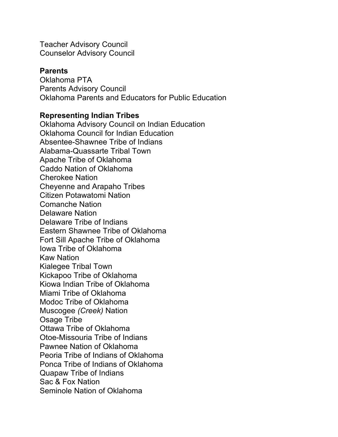Teacher Advisory Council Counselor Advisory Council

#### **Parents**

Oklahoma PTA Parents Advisory Council Oklahoma Parents and Educators for Public Education

#### **Representing Indian Tribes**

Oklahoma Advisory Council on Indian Education Oklahoma Council for Indian Education Absentee-Shawnee Tribe of Indians Alabama-Quassarte Tribal Town Apache Tribe of Oklahoma Caddo Nation of Oklahoma Cherokee Nation Cheyenne and Arapaho Tribes Citizen Potawatomi Nation Comanche Nation Delaware Nation Delaware Tribe of Indians Eastern Shawnee Tribe of Oklahoma Fort Sill Apache Tribe of Oklahoma Iowa Tribe of Oklahoma Kaw Nation Kialegee Tribal Town Kickapoo Tribe of Oklahoma Kiowa Indian Tribe of Oklahoma Miami Tribe of Oklahoma Modoc Tribe of Oklahoma Muscogee *(Creek)* Nation Osage Tribe Ottawa Tribe of Oklahoma Otoe-Missouria Tribe of Indians Pawnee Nation of Oklahoma Peoria Tribe of Indians of Oklahoma Ponca Tribe of Indians of Oklahoma Quapaw Tribe of Indians Sac & Fox Nation Seminole Nation of Oklahoma